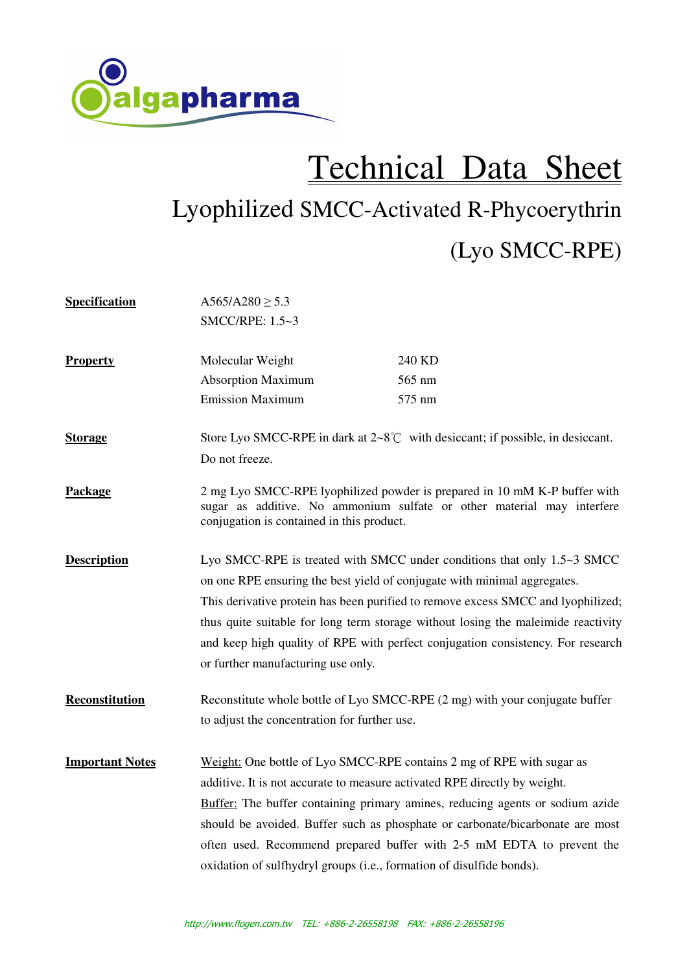

## Technical Data Sheet

## Lyophilized SMCC-Activated R-Phycoerythrin (Lyo SMCC-RPE)

| <b>Specification</b>   | A565/A280 $\geq$ 5.3<br>SMCC/RPE: 1.5~3                                                                                                                                                                                                                                                                                                                                                                                                               |                                                                                                                                                                                                                                                                                                                  |
|------------------------|-------------------------------------------------------------------------------------------------------------------------------------------------------------------------------------------------------------------------------------------------------------------------------------------------------------------------------------------------------------------------------------------------------------------------------------------------------|------------------------------------------------------------------------------------------------------------------------------------------------------------------------------------------------------------------------------------------------------------------------------------------------------------------|
| <b>Property</b>        | Molecular Weight<br><b>Absorption Maximum</b>                                                                                                                                                                                                                                                                                                                                                                                                         | 240 KD<br>565 nm                                                                                                                                                                                                                                                                                                 |
|                        | <b>Emission Maximum</b>                                                                                                                                                                                                                                                                                                                                                                                                                               | 575 nm                                                                                                                                                                                                                                                                                                           |
| <b>Storage</b>         | Store Lyo SMCC-RPE in dark at $2 \sim 8^{\circ}$ with desiccant; if possible, in desiccant.<br>Do not freeze.                                                                                                                                                                                                                                                                                                                                         |                                                                                                                                                                                                                                                                                                                  |
| Package                | 2 mg Lyo SMCC-RPE lyophilized powder is prepared in 10 mM K-P buffer with<br>sugar as additive. No ammonium sulfate or other material may interfere<br>conjugation is contained in this product.                                                                                                                                                                                                                                                      |                                                                                                                                                                                                                                                                                                                  |
| <b>Description</b>     | Lyo SMCC-RPE is treated with SMCC under conditions that only 1.5~3 SMCC<br>on one RPE ensuring the best yield of conjugate with minimal aggregates.<br>This derivative protein has been purified to remove excess SMCC and lyophilized;<br>thus quite suitable for long term storage without losing the maleimide reactivity<br>and keep high quality of RPE with perfect conjugation consistency. For research<br>or further manufacturing use only. |                                                                                                                                                                                                                                                                                                                  |
| Reconstitution         | to adjust the concentration for further use.                                                                                                                                                                                                                                                                                                                                                                                                          | Reconstitute whole bottle of Lyo SMCC-RPE (2 mg) with your conjugate buffer                                                                                                                                                                                                                                      |
| <b>Important Notes</b> | additive. It is not accurate to measure activated RPE directly by weight.<br>oxidation of sulfhydryl groups (i.e., formation of disulfide bonds).                                                                                                                                                                                                                                                                                                     | Weight: One bottle of Lyo SMCC-RPE contains 2 mg of RPE with sugar as<br>Buffer: The buffer containing primary amines, reducing agents or sodium azide<br>should be avoided. Buffer such as phosphate or carbonate/bicarbonate are most<br>often used. Recommend prepared buffer with 2-5 mM EDTA to prevent the |